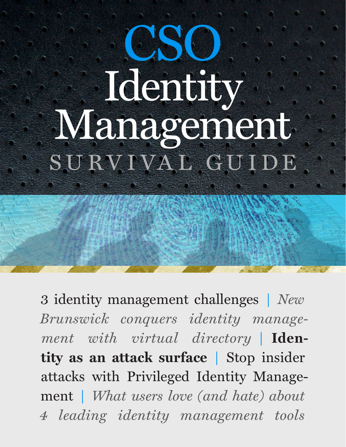# CSO. Management SURVIVAL GUIDE

[3 identity management challenges](#page-2-0) **|** *[New](#page-5-0)  [Brunswick conquers identity manage](#page-1-0)[ment with virtual directory](#page-5-0)* **| [Iden](#page-8-0)[tity as an attack surface](#page-8-0) |** [Stop insider](#page-10-0) [attacks with Privileged Identity Manage](#page-10-0)[ment](#page-10-0) **|** *[What users love \(and hate\) about](#page-22-0)  [4 leading identity management tools](#page-22-0)*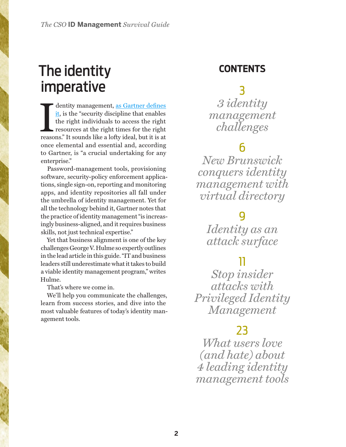# <span id="page-1-0"></span>The identity imperative

dentity management, as Gartner defines<br>it, is the "security discipline that enables<br>the right individuals to access the right<br>resources at the right times for the right<br>reasons." It sounds like a lofty ideal, but it is at dentity management, [as Gartner defines](http://www.gartner.com/it-glossary/identity-and-access-management-iam/)  [it](http://www.gartner.com/it-glossary/identity-and-access-management-iam/), is the "security discipline that enables" the right individuals to access the right resources at the right times for the right once elemental and essential and, according to Gartner, is "a crucial undertaking for any enterprise."

Password-management tools, provisioning software, security-policy enforcement applications, single sign-on, reporting and monitoring apps, and identity repositories all fall under the umbrella of identity management. Yet for all the technology behind it, Gartner notes that the practice of identity management "is increasingly business-aligned, and it requires business skills, not just technical expertise."

Yet that business alignment is one of the key challenges George V. Hulme so expertly outlines in the lead article in this guide. "IT and business leaders still underestimate what it takes to build a viable identity management program," writes Hulme.

That's where we come in.

We'll help you communicate the challenges, learn from success stories, and dive into the most valuable features of today's identity management tools.

#### **CONTENTS**

# [3](#page-2-0)

*[3 identity](#page-2-0)  [management](#page-2-0)  [challenges](#page-2-0)*

# [6](#page-5-0)

*[New Brunswick](#page-5-0)  [conquers identity](#page-5-0)  [management with](#page-5-0)  [virtual directory](#page-5-0)*

# [9](#page-8-0)

*[Identity as an](#page-8-0)  [attack surface](#page-8-0)*

## [11](#page-10-0)

*[Stop insider](#page-10-0)  [attacks with](#page-10-0)  [Privileged Identity](#page-10-0)  [Management](#page-10-0)*

## [23](#page-22-0)

*[What users love](#page-22-0)  [\(and hate\) about](#page-22-0)  [4 leading identity](#page-22-0)  [management tools](#page-22-0)*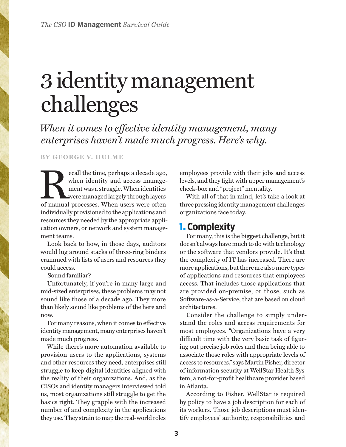# <span id="page-2-0"></span>3 identity management challenges

*When it comes to effective identity management, many enterprises haven't made much progress. Here's why.*

**BY [GEORGE V. HULME](http://www.csoonline.com/author/George-V.-Hulme/)**

ecall the time, perhaps a decade ago, when identity and access management was a struggle. When identities were managed largely through layers of manual processes. When users were often when identity and access management was a struggle. When identities were managed largely through layers individually provisioned to the applications and resources they needed by the appropriate application owners, or network and system management teams.

Look back to how, in those days, auditors would lug around stacks of three-ring binders crammed with lists of users and resources they could access.

Sound familiar?

Unfortunately, if you're in many large and mid-sized enterprises, these problems may not sound like those of a decade ago. They more than likely sound like problems of the here and now.

For many reasons, when it comes to effective identity management, many enterprises haven't made much progress.

While there's more automation available to provision users to the applications, systems and other resources they need, enterprises still struggle to keep digital identities aligned with the reality of their organizations. And, as the CISOs and identity managers interviewed told us, most organizations still struggle to get the basics right. They grapple with the increased number of and complexity in the applications they use. They strain to map the real-world roles

employees provide with their jobs and access levels, and they fight with upper management's check-box and "project" mentality.

With all of that in mind, let's take a look at three pressing identity management challenges organizations face today.

#### 1. **Complexity**

For many, this is the biggest challenge, but it doesn't always have much to do with technology or the software that vendors provide. It's that the complexity of IT has increased. There are more applications, but there are also more types of applications and resources that employees access. That includes those applications that are provided on-premise, or those, such as Software-as-a-Service, that are based on cloud architectures.

Consider the challenge to simply understand the roles and access requirements for most employees. "Organizations have a very difficult time with the very basic task of figuring out precise job roles and then being able to associate those roles with appropriate levels of access to resources," says Martin Fisher, director of information security at WellStar Health System, a not-for-profit healthcare provider based in Atlanta.

According to Fisher, WellStar is required by policy to have a job description for each of its workers. Those job descriptions must identify employees' authority, responsibilities and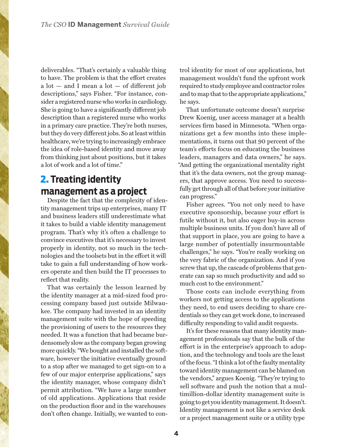deliverables. "That's certainly a valuable thing to have. The problem is that the effort creates  $a$  lot  $-$  and I mean a lot  $-$  of different job descriptions," says Fisher. "For instance, consider a registered nurse who works in cardiology. She is going to have a significantly different job description than a registered nurse who works in a primary care practice. They're both nurses, but they do very different jobs. So at least within healthcare, we're trying to increasingly embrace the idea of role-based identity and move away from thinking just about positions, but it takes a lot of work and a lot of time."

## 2. **Treating identity management as a project**

Despite the fact that the complexity of identity management trips up enterprises, many IT and business leaders still underestimate what it takes to build a viable identity management program. That's why it's often a challenge to convince executives that it's necessary to invest properly in identity, not so much in the technologies and the toolsets but in the effort it will take to gain a full understanding of how workers operate and then build the IT processes to reflect that reality.

That was certainly the lesson learned by the identity manager at a mid-sized food processing company based just outside Milwaukee. The company had invested in an identity management suite with the hope of speeding the provisioning of users to the resources they needed. It was a function that had became burdensomely slow as the company began growing more quickly. "We bought and installed the software, however the initiative eventually ground to a stop after we managed to get sign-on to a few of our major enterprise applications," says the identity manager, whose company didn't permit attribution. "We have a large number of old applications. Applications that reside on the production floor and in the warehouses don't often change. Initially, we wanted to control identity for most of our applications, but management wouldn't fund the upfront work required to study employee and contractor roles and to map that to the appropriate applications," he says.

That unfortunate outcome doesn't surprise Drew Koenig, user access manager at a health services firm based in Minnesota. "When organizations get a few months into these implementations, it turns out that 90 percent of the team's efforts focus on educating the business leaders, managers and data owners," he says. "And getting the organizational mentality right that it's the data owners, not the group managers, that approve access. You need to successfully get through all of that before your initiative can progress."

Fisher agrees. "You not only need to have executive sponsorship, because your effort is futile without it, but also eager buy-in across multiple business units. If you don't have all of that support in place, you are going to have a large number of potentially insurmountable challenges," he says. "You're really working on the very fabric of the organization. And if you screw that up, the cascade of problems that generate can sap so much productivity and add so much cost to the environment."

Those costs can include everything from workers not getting access to the applications they need, to end users deciding to share credentials so they can get work done, to increased difficulty responding to valid audit requests.

It's for these reasons that many identity management professionals say that the bulk of the effort is in the enterprise's approach to adoption, and the technology and tools are the least of the focus. "I think a lot of the faulty mentality toward identity management can be blamed on the vendors," argues Koenig. "They're trying to sell software and push the notion that a multimillion-dollar identity management suite is going to get you identity management. It doesn't. Identity management is not like a service desk or a project management suite or a utility type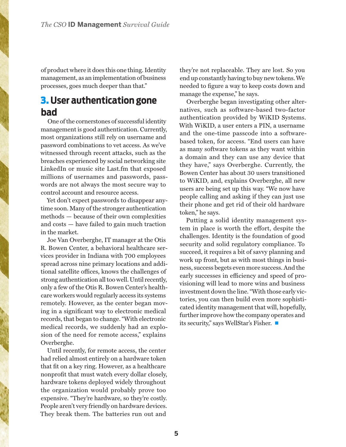of product where it does this one thing. Identity management, as an implementation of business processes, goes much deeper than that."

#### 3. **User authentication gone bad**

One of the cornerstones of successful identity management is good authentication. Currently, most organizations still rely on username and password combinations to vet access. As we've witnessed through recent attacks, such as the breaches experienced by social networking site LinkedIn or music site Last.fm that exposed millions of usernames and passwords, passwords are not always the most secure way to control account and resource access.

Yet don't expect passwords to disappear anytime soon. Many of the stronger authentication methods — because of their own complexities and costs — have failed to gain much traction in the market.

Joe Van Overberghe, IT manager at the Otis R. Bowen Center, a behavioral healthcare services provider in Indiana with 700 employees spread across nine primary locations and additional satellite offices, knows the challenges of strong authentication all too well. Until recently, only a few of the Otis R. Bowen Center's healthcare workers would regularly access its systems remotely. However, as the center began moving in a significant way to electronic medical records, that began to change. "With electronic medical records, we suddenly had an explosion of the need for remote access," explains Overberghe.

Until recently, for remote access, the center had relied almost entirely on a hardware token that fit on a key ring. However, as a healthcare nonprofit that must watch every dollar closely, hardware tokens deployed widely throughout the organization would probably prove too expensive. "They're hardware, so they're costly. People aren't very friendly on hardware devices. They break them. The batteries run out and

they're not replaceable. They are lost. So you end up constantly having to buy new tokens. We needed to figure a way to keep costs down and manage the expense," he says.

Overberghe began investigating other alternatives, such as software-based two-factor authentication provided by WiKID Systems. With WiKID, a user enters a PIN, a username and the one-time passcode into a softwarebased token, for access. "End users can have as many software tokens as they want within a domain and they can use any device that they have," says Overberghe. Currently, the Bowen Center has about 30 users transitioned to WiKID, and, explains Overberghe, all new users are being set up this way. "We now have people calling and asking if they can just use their phone and get rid of their old hardware token," he says.

Putting a solid identity management system in place is worth the effort, despite the challenges. Identity is the foundation of good security and solid regulatory compliance. To succeed, it requires a bit of savvy planning and work up front, but as with most things in business, success begets even more success. And the early successes in efficiency and speed of provisioning will lead to more wins and business investment down the line. "With those early victories, you can then build even more sophisticated identity management that will, hopefully, further improve how the company operates and its security," says WellStar's Fisher.  $\blacksquare$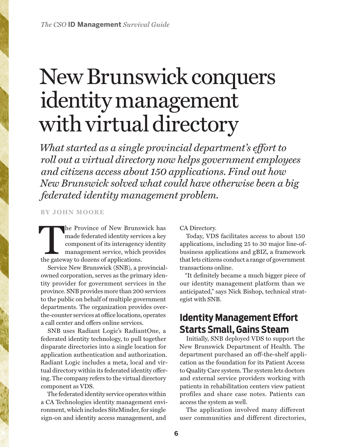# <span id="page-5-0"></span>New Brunswick conquers identity management with virtual directory

*What started as a single provincial department's effort to roll out a virtual directory now helps government employees and citizens access about 150 applications. Find out how New Brunswick solved what could have otherwise been a big federated identity management problem.*

#### **BY [JOHN MOORE](http://www.csoonline.com/author/John-Moore/)**

he Province of New Brunswick has made federated identity services a key component of its interagency identity management service, which provides the gateway to dozens of applications.

Service New Brunswick (SNB), a provincialowned corporation, serves as the primary identity provider for government services in the province. SNB provides more than 200 services to the public on behalf of multiple government departments. The organization provides overthe-counter services at office locations, operates a call center and offers online services.

SNB uses Radiant Logic's RadiantOne, a federated identity technology, to pull together disparate directories into a single location for application authentication and authorization. Radiant Logic includes a meta, local and virtual directory within its federated identity offering. The company refers to the virtual directory component as VDS.

The federated identity service operates within a CA Technologies identity management environment, which includes SiteMinder, for single sign-on and identity access management, and

CA Directory.

Today, VDS facilitates access to about 150 applications, including 25 to 30 major line-ofbusiness applications and gBIZ, a framework that lets citizens conduct a range of government transactions online.

"It definitely became a much bigger piece of our identity management platform than we anticipated," says Nick Bishop, technical strategist with SNB.

#### **Identity Management Effort Starts Small, Gains Steam**

Initially, SNB deployed VDS to support the New Brunswick Department of Health. The department purchased an off-the-shelf application as the foundation for its Patient Access to Quality Care system. The system lets doctors and external service providers working with patients in rehabilitation centers view patient profiles and share case notes. Patients can access the system as well.

The application involved many different user communities and different directories,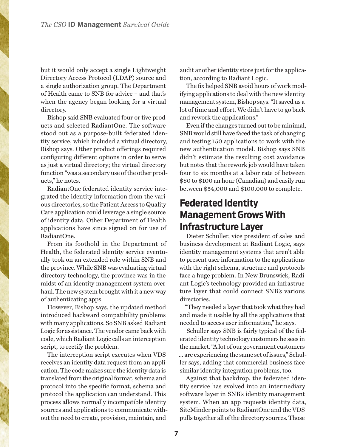but it would only accept a single Lightweight Directory Access Protocol (LDAP) source and a single authorization group. The Department of Health came to SNB for advice – and that's when the agency began looking for a virtual directory.

Bishop said SNB evaluated four or five products and selected RadiantOne. The software stood out as a purpose-built federated identity service, which included a virtual directory, Bishop says. Other product offerings required configuring different options in order to serve as just a virtual directory; the virtual directory function "was a secondary use of the other products," he notes.

RadiantOne federated identity service integrated the identity information from the various directories, so the Patient Access to Quality Care application could leverage a single source of identity data. Other Department of Health applications have since signed on for use of RadiantOne.

From its foothold in the Department of Health, the federated identity service eventually took on an extended role within SNB and the province. While SNB was evaluating virtual directory technology, the province was in the midst of an identity management system overhaul. The new system brought with it a new way of authenticating apps.

However, Bishop says, the updated method introduced backward compatibility problems with many applications. So SNB asked Radiant Logic for assistance. The vendor came back with code, which Radiant Logic calls an interception script, to rectify the problem.

The interception script executes when VDS receives an identity data request from an application. The code makes sure the identity data is translated from the original format, schema and protocol into the specific format, schema and protocol the application can understand. This process allows normally incompatible identity sources and applications to communicate without the need to create, provision, maintain, and

audit another identity store just for the application, according to Radiant Logic.

The fix helped SNB avoid hours of work modifying applications to deal with the new identity management system, Bishop says. "It saved us a lot of time and effort. We didn't have to go back and rework the applications."

Even if the changes turned out to be minimal, SNB would still have faced the task of changing and testing 150 applications to work with the new authentication model. Bishop says SNB didn't estimate the resulting cost avoidance but notes that the rework job would have taken four to six months at a labor rate of between \$80 to \$100 an hour (Canadian) and easily run between \$54,000 and \$100,000 to complete.

## **Federated Identity Management Grows With Infrastructure Layer**

Dieter Schuller, vice president of sales and business development at Radiant Logic, says identity management systems that aren't able to present user information to the applications with the right schema, structure and protocols face a huge problem. In New Brunswick, Radiant Logic's technology provided an infrastructure layer that could connect SNB's various directories.

"They needed a layer that took what they had and made it usable by all the applications that needed to access user information," he says.

Schuller says SNB is fairly typical of the federated identity technology customers he sees in the market. "A lot of our government customers ... are experiencing the same set of issues," Schuller says, adding that commercial business face similar identity integration problems, too.

Against that backdrop, the federated identity service has evolved into an intermediary software layer in SNB's identity management system. When an app requests identity data, SiteMinder points to RadiantOne and the VDS pulls together all of the directory sources. Those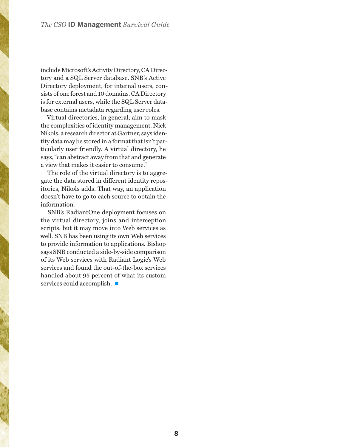include Microsoft's Activity Directory, CA Directory and a SQL Server database. SNB's Active Directory deployment, for internal users, consists of one forest and 10 domains. CA Directory is for external users, while the SQL Server database contains metadata regarding user roles.

Virtual directories, in general, aim to mask the complexities of identity management. Nick Nikols, a research director at Gartner, says identity data may be stored in a format that isn't particularly user friendly. A virtual directory, he says, "can abstract away from that and generate a view that makes it easier to consume."

The role of the virtual directory is to aggregate the data stored in different identity repositories, Nikols adds. That way, an application doesn't have to go to each source to obtain the information.

SNB's RadiantOne deployment focuses on the virtual directory, joins and interception scripts, but it may move into Web services as well. SNB has been using its own Web services to provide information to applications. Bishop says SNB conducted a side-by-side comparison of its Web services with Radiant Logic's Web services and found the out-of-the-box services handled about 95 percent of what its custom services could accomplish.  $\blacksquare$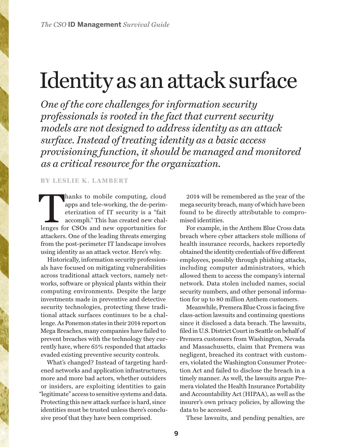# <span id="page-8-0"></span>Identity as an attack surface

*One of the core challenges for information security professionals is rooted in the fact that current security models are not designed to address identity as an attack surface. Instead of treating identity as a basic access provisioning function, it should be managed and monitored as a critical resource for the organization.*

#### **BY [LESLIE K. LAMBERT](http://www.csoonline.com/author/Leslie-K.-Lambert/)**

hanks to mobile computing, cloud<br>apps and tele-working, the de-perim-<br>eterization of IT security is a "fait<br>accompli." This has created new chal-<br>lenges for CSOs and new opportunities for apps and tele-working, the de-perimeterization of IT security is a "fait accompli." This has created new chalattackers. One of the leading threats emerging from the post-perimeter IT landscape involves using identity as an attack vector. Here's why.

Historically, information security professionals have focused on mitigating vulnerabilities across traditional attack vectors, namely networks, software or physical plants within their computing environments. Despite the large investments made in preventive and detective security technologies, protecting these traditional attack surfaces continues to be a challenge. As Ponemon states in their 2014 report on Mega Breaches, many companies have failed to prevent breaches with the technology they currently have, where 65% responded that attacks evaded existing preventive security controls.

What's changed? Instead of targeting hardened networks and application infrastructures, more and more bad actors, whether outsiders or insiders, are exploiting identities to gain "legitimate" access to sensitive systems and data. Protecting this new attack surface is hard, since identities must be trusted unless there's conclusive proof that they have been comprised.

2014 will be remembered as the year of the mega security breach, many of which have been found to be directly attributable to compromised identities.

For example, in the Anthem Blue Cross data breach where cyber attackers stole millions of health insurance records, hackers reportedly obtained the identity credentials of five different employees, possibly through phishing attacks, including computer administrators, which allowed them to access the company's internal network. Data stolen included names, social security numbers, and other personal information for up to 80 million Anthem customers.

Meanwhile, Premera Blue Cross is facing five class-action lawsuits and continuing questions since it disclosed a data breach. The lawsuits, filed in U.S. District Court in Seattle on behalf of Premera customers from Washington, Nevada and Massachusetts, claim that Premera was negligent, breached its contract with customers, violated the Washington Consumer Protection Act and failed to disclose the breach in a timely manner. As well, the lawsuits argue Premera violated the Health Insurance Portability and Accountability Act (HIPAA), as well as the insurer's own privacy policies, by allowing the data to be accessed.

These lawsuits, and pending penalties, are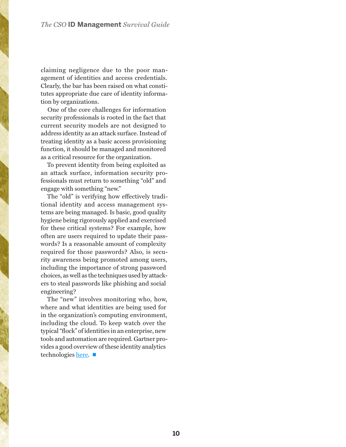claiming negligence due to the poor management of identities and access credentials. Clearly, the bar has been raised on what constitutes appropriate due care of identity information by organizations.

One of the core challenges for information security professionals is rooted in the fact that current security models are not designed to address identity as an attack surface. Instead of treating identity as a basic access provisioning function, it should be managed and monitored as a critical resource for the organization.

To prevent identity from being exploited as an attack surface, information security professionals must return to something "old" and engage with something "new."

The "old" is verifying how effectively traditional identity and access management systems are being managed. Is basic, good quality hygiene being rigorously applied and exercised for these critical systems? For example, how often are users required to update their passwords? Is a reasonable amount of complexity required for those passwords? Also, is security awareness being promoted among users, including the importance of strong password choices, as well as the techniques used by attackers to steal passwords like phishing and social engineering?

The "new" involves monitoring who, how, where and what identities are being used for in the organization's computing environment, including the cloud. To keep watch over the typical "flock" of identities in an enterprise, new tools and automation are required. Gartner provides a good overview of these identity analytics technologies [here.](https://www.gartner.com/doc/2831117/market-guide-user-behavior-analytics) ■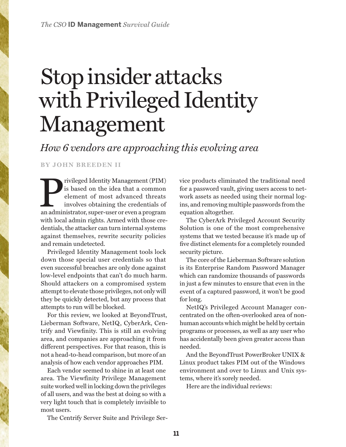# <span id="page-10-0"></span>Stop insider attacks with Privileged Identity Management

*How 6 vendors are approaching this evolving area*

**BY JOHN BREEDEN II**

Privileged Identity Management (PIM) is based on the idea that a common element of most advanced threats involves obtaining the credentials of an administrator, super-user or even a program is based on the idea that a common element of most advanced threats involves obtaining the credentials of with local admin rights. Armed with those credentials, the attacker can turn internal systems against themselves, rewrite security policies and remain undetected.

Privileged Identity Management tools lock down those special user credentials so that even successful breaches are only done against low-level endpoints that can't do much harm. Should attackers on a compromised system attempt to elevate those privileges, not only will they be quickly detected, but any process that attempts to run will be blocked.

For this review, we looked at BeyondTrust, Lieberman Software, NetIQ, CyberArk, Centrify and Viewfinity. This is still an evolving area, and companies are approaching it from different perspectives. For that reason, this is not a head-to-head comparison, but more of an analysis of how each vendor approaches PIM.

Each vendor seemed to shine in at least one area. The Viewfinity Privilege Management suite worked well in locking down the privileges of all users, and was the best at doing so with a very light touch that is completely invisible to most users.

The Centrify Server Suite and Privilege Ser-

vice products eliminated the traditional need for a password vault, giving users access to network assets as needed using their normal logins, and removing multiple passwords from the equation altogether.

The CyberArk Privileged Account Security Solution is one of the most comprehensive systems that we tested because it's made up of five distinct elements for a completely rounded security picture.

The core of the Lieberman Software solution is its Enterprise Random Password Manager which can randomize thousands of passwords in just a few minutes to ensure that even in the event of a captured password, it won't be good for long.

NetIQ's Privileged Account Manager concentrated on the often-overlooked area of nonhuman accounts which might be held by certain programs or processes, as well as any user who has accidentally been given greater access than needed.

And the BeyondTrust PowerBroker UNIX & Linux product takes PIM out of the Windows environment and over to Linux and Unix systems, where it's sorely needed.

Here are the individual reviews: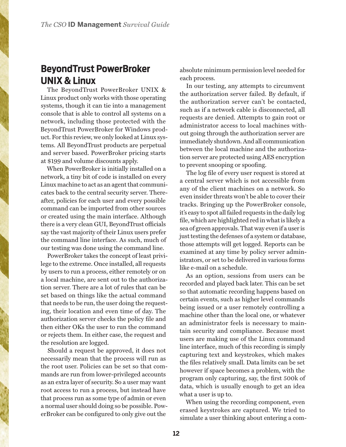#### **BeyondTrust PowerBroker UNIX & Linux**

The BeyondTrust PowerBroker UNIX & Linux product only works with those operating systems, though it can tie into a management console that is able to control all systems on a network, including those protected with the BeyondTrust PowerBroker for Windows product. For this review, we only looked at Linux systems. All BeyondTrust products are perpetual and server based. PowerBroker pricing starts at \$199 and volume discounts apply.

When PowerBroker is initially installed on a network, a tiny bit of code is installed on every Linux machine to act as an agent that communicates back to the central security server. Thereafter, policies for each user and every possible command can be imported from other sources or created using the main interface. Although there is a very clean GUI, BeyondTrust officials say the vast majority of their Linux users prefer the command line interface. As such, much of our testing was done using the command line.

PowerBroker takes the concept of least privilege to the extreme. Once installed, all requests by users to run a process, either remotely or on a local machine, are sent out to the authorization server. There are a lot of rules that can be set based on things like the actual command that needs to be run, the user doing the requesting, their location and even time of day. The authorization server checks the policy file and then either OKs the user to run the command or rejects them. In either case, the request and the resolution are logged.

Should a request be approved, it does not necessarily mean that the process will run as the root user. Policies can be set so that commands are run from lower-privileged accounts as an extra layer of security. So a user may want root access to run a process, but instead have that process run as some type of admin or even a normal user should doing so be possible. PowerBroker can be configured to only give out the

absolute minimum permission level needed for each process.

In our testing, any attempts to circumvent the authorization server failed. By default, if the authorization server can't be contacted, such as if a network cable is disconnected, all requests are denied. Attempts to gain root or administrator access to local machines without going through the authorization server are immediately shutdown. And all communication between the local machine and the authorization server are protected using AES encryption to prevent snooping or spoofing.

The log file of every user request is stored at a central server which is not accessible from any of the client machines on a network. So even insider threats won't be able to cover their tracks. Bringing up the PowerBroker console, it's easy to spot all failed requests in the daily log file, which are highlighted red in what is likely a sea of green approvals. That way even if a user is just testing the defenses of a system or database, those attempts will get logged. Reports can be examined at any time by policy server administrators, or set to be delivered in various forms like e-mail on a schedule.

As an option, sessions from users can be recorded and played back later. This can be set so that automatic recording happens based on certain events, such as higher level commands being issued or a user remotely controlling a machine other than the local one, or whatever an administrator feels is necessary to maintain security and compliance. Because most users are making use of the Linux command line interface, much of this recording is simply capturing text and keystrokes, which makes the files relatively small. Data limits can be set however if space becomes a problem, with the program only capturing, say, the first 500k of data, which is usually enough to get an idea what a user is up to.

When using the recording component, even erased keystrokes are captured. We tried to simulate a user thinking about entering a com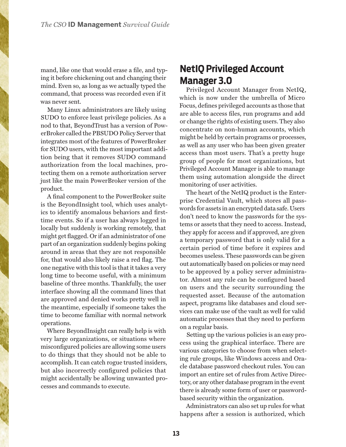mand, like one that would erase a file, and typing it before chickening out and changing their mind. Even so, as long as we actually typed the command, that process was recorded even if it was never sent.

Many Linux administrators are likely using SUDO to enforce least privilege policies. As a nod to that, BeyondTrust has a version of PowerBroker called the PBSUDO Policy Server that integrates most of the features of PowerBroker for SUDO users, with the most important addition being that it removes SUDO command authorization from the local machines, protecting them on a remote authorization server just like the main PowerBroker version of the product.

A final component to the PowerBroker suite is the BeyondInsight tool, which uses analytics to identify anomalous behaviors and firsttime events. So if a user has always logged in locally but suddenly is working remotely, that might get flagged. Or if an administrator of one part of an organization suddenly begins poking around in areas that they are not responsible for, that would also likely raise a red flag. The one negative with this tool is that it takes a very long time to become useful, with a minimum baseline of three months. Thankfully, the user interface showing all the command lines that are approved and denied works pretty well in the meantime, especially if someone takes the time to become familiar with normal network operations.

Where BeyondInsight can really help is with very large organizations, or situations where misconfigured policies are allowing some users to do things that they should not be able to accomplish. It can catch rogue trusted insiders, but also incorrectly configured policies that might accidentally be allowing unwanted processes and commands to execute.

#### **NetIQ Privileged Account Manager 3.0**

Privileged Account Manager from NetIQ, which is now under the umbrella of Micro Focus, defines privileged accounts as those that are able to access files, run programs and add or change the rights of existing users. They also concentrate on non-human accounts, which might be held by certain programs or processes, as well as any user who has been given greater access than most users. That's a pretty huge group of people for most organizations, but Privileged Account Manager is able to manage them using automation alongside the direct monitoring of user activities.

The heart of the NetIQ product is the Enterprise Credential Vault, which stores all passwords for assets in an encrypted data safe. Users don't need to know the passwords for the systems or assets that they need to access. Instead, they apply for access and if approved, are given a temporary password that is only valid for a certain period of time before it expires and becomes useless. These passwords can be given out automatically based on policies or may need to be approved by a policy server administrator. Almost any rule can be configured based on users and the security surrounding the requested asset. Because of the automation aspect, programs like databases and cloud services can make use of the vault as well for valid automatic processes that they need to perform on a regular basis.

Setting up the various policies is an easy process using the graphical interface. There are various categories to choose from when selecting rule groups, like Windows access and Oracle database password checkout rules. You can import an entire set of rules from Active Directory, or any other database program in the event there is already some form of user or passwordbased security within the organization.

Administrators can also set up rules for what happens after a session is authorized, which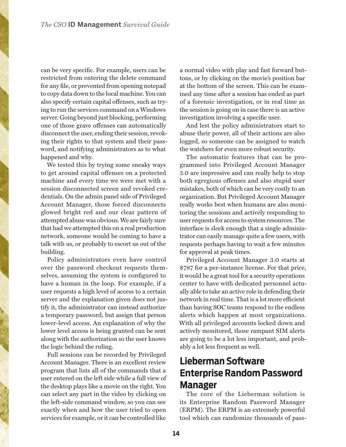can be very specific. For example, users can be restricted from entering the delete command for any file, or prevented from opening notepad to copy data down to the local machine. You can also specify certain capital offenses, such as trying to run the services command on a Windows server. Going beyond just blocking, performing one of those grave offenses can automatically disconnect the user, ending their session, revoking their rights to that system and their password, and notifying administrators as to what happened and why.

We tested this by trying some sneaky ways to get around capital offenses on a protected machine and every time we were met with a session disconnected screen and revoked credentials. On the admin panel side of Privileged Account Manager, those forced disconnects glowed bright red and our clear pattern of attempted abuse was obvious. We are fairly sure that had we attempted this on a real production network, someone would be coming to have a talk with us, or probably to escort us out of the building.

Policy administrators even have control over the password checkout requests themselves, assuming the system is configured to have a human in the loop. For example, if a user requests a high level of access to a certain server and the explanation given does not justify it, the administrator can instead authorize a temporary password, but assign that person lower-level access. An explanation of why the lower level access is being granted can be sent along with the authorization so the user knows the logic behind the ruling.

Full sessions can be recorded by Privileged Account Manager. There is an excellent review program that lists all of the commands that a user entered on the left side while a full view of the desktop plays like a movie on the right. You can select any part in the video by clicking on the left-side command window, so you can see exactly when and how the user tried to open services for example, or it can be controlled like

a normal video with play and fast forward buttons, or by clicking on the movie's position bar at the bottom of the screen. This can be examined any time after a session has ended as part of a forensic investigation, or in real time as the session is going on in case there is an active investigation involving a specific user.

And lest the policy administrators start to abuse their power, all of their actions are also logged, so someone can be assigned to watch the watchers for even more robust security.

The automatic features that can be programmed into Privileged Account Manager 3.0 are impressive and can really help to stop both egregious offenses and also stupid user mistakes, both of which can be very costly to an organization. But Privileged Account Manager really works best when humans are also monitoring the sessions and actively responding to user requests for access to system resources. The interface is sleek enough that a single administrator can easily manage quite a few users, with requests perhaps having to wait a few minutes for approval at peak times.

Privileged Account Manager 3.0 starts at \$787 for a per-instance license. For that price, it would be a great tool for a security operations center to have with dedicated personnel actually able to take an active role in defending their network in real time. That is a lot more efficient than having SOC teams respond to the endless alerts which happen at most organizations. With all privileged accounts locked down and actively monitored, those rampant SIM alerts are going to be a lot less important, and probably a lot less frequent as well.

## **Lieberman Software Enterprise Random Password Manager**

The core of the Lieberman solution is its Enterprise Random Password Manager (ERPM). The ERPM is an extremely powerful tool which can randomize thousands of pass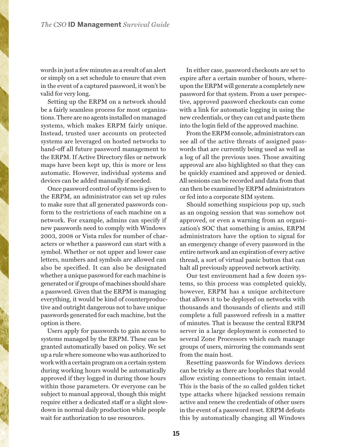words in just a few minutes as a result of an alert or simply on a set schedule to ensure that even in the event of a captured password, it won't be valid for very long.

Setting up the ERPM on a network should be a fairly seamless process for most organizations. There are no agents installed on managed systems, which makes ERPM fairly unique. Instead, trusted user accounts on protected systems are leveraged on hosted networks to hand-off all future password management to the ERPM. If Active Directory files or network maps have been kept up, this is more or less automatic. However, individual systems and devices can be added manually if needed.

Once password control of systems is given to the ERPM, an administrator can set up rules to make sure that all generated passwords conform to the restrictions of each machine on a network. For example, admins can specify if new passwords need to comply with Windows 2003, 2008 or Vista rules for number of characters or whether a password can start with a symbol. Whether or not upper and lower case letters, numbers and symbols are allowed can also be specified. It can also be designated whether a unique password for each machine is generated or if groups of machines should share a password. Given that the ERPM is managing everything, it would be kind of counterproductive and outright dangerous not to have unique passwords generated for each machine, but the option is there.

Users apply for passwords to gain access to systems managed by the ERPM. These can be granted automatically based on policy. We set up a rule where someone who was authorized to work with a certain program on a certain system during working hours would be automatically approved if they logged in during those hours within those parameters. Or everyone can be subject to manual approval, though this might require either a dedicated staff or a slight slowdown in normal daily production while people wait for authorization to use resources.

In either case, password checkouts are set to expire after a certain number of hours, whereupon the ERPM will generate a completely new password for that system. From a user perspective, approved password checkouts can come with a link for automatic logging in using the new credentials, or they can cut and paste them into the login field of the approved machine.

From the ERPM console, administrators can see all of the active threats of assigned passwords that are currently being used as well as a log of all the previous uses. Those awaiting approval are also highlighted so that they can be quickly examined and approved or denied. All sessions can be recorded and data from that can then be examined by ERPM administrators or fed into a corporate SIM system.

Should something suspicious pop up, such as an ongoing session that was somehow not approved, or even a warning from an organization's SOC that something is amiss, ERPM administrators have the option to signal for an emergency change of every password in the entire network and an expiration of every active thread, a sort of virtual panic button that can halt all previously approved network activity.

Our test environment had a few dozen systems, so this process was completed quickly, however, ERPM has a unique architecture that allows it to be deployed on networks with thousands and thousands of clients and still complete a full password refresh in a matter of minutes. That is because the central ERPM server in a large deployment is connected to several Zone Processors which each manage groups of users, mirroring the commands sent from the main host.

Resetting passwords for Windows devices can be tricky as there are loopholes that would allow existing connections to remain intact. This is the basis of the so called golden ticket type attacks where hijacked sessions remain active and renew the credentials of other users in the event of a password reset. ERPM defeats this by automatically changing all Windows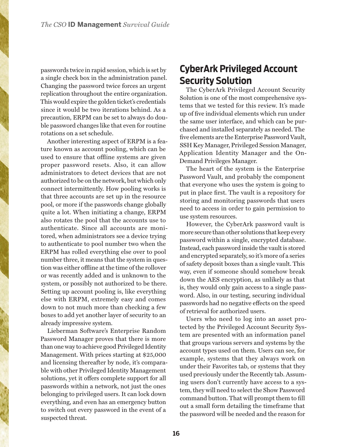passwords twice in rapid session, which is set by a single check box in the administration panel. Changing the password twice forces an urgent replication throughout the entire organization. This would expire the golden ticket's credentials since it would be two iterations behind. As a precaution, ERPM can be set to always do double password changes like that even for routine rotations on a set schedule.

Another interesting aspect of ERPM is a feature known as account pooling, which can be used to ensure that offline systems are given proper password resets. Also, it can allow administrators to detect devices that are not authorized to be on the network, but which only connect intermittently. How pooling works is that three accounts are set up in the resource pool, or more if the passwords change globally quite a lot. When initiating a change, ERPM also rotates the pool that the accounts use to authenticate. Since all accounts are monitored, when administrators see a device trying to authenticate to pool number two when the ERPM has rolled everything else over to pool number three, it means that the system in question was either offline at the time of the rollover or was recently added and is unknown to the system, or possibly not authorized to be there. Setting up account pooling is, like everything else with ERPM, extremely easy and comes down to not much more than checking a few boxes to add yet another layer of security to an already impressive system.

Lieberman Software's Enterprise Random Password Manager proves that there is more than one way to achieve good Privileged Identity Management. With prices starting at \$25,000 and licensing thereafter by node, it's comparable with other Privileged Identity Management solutions, yet it offers complete support for all passwords within a network, not just the ones belonging to privileged users. It can lock down everything, and even has an emergency button to switch out every password in the event of a suspected threat.

### **CyberArk Privileged Account Security Solution**

The CyberArk Privileged Account Security Solution is one of the most comprehensive systems that we tested for this review. It's made up of five individual elements which run under the same user interface, and which can be purchased and installed separately as needed. The five elements are the Enterprise Password Vault, SSH Key Manager, Privileged Session Manager, Application Identity Manager and the On-Demand Privileges Manager.

The heart of the system is the Enterprise Password Vault, and probably the component that everyone who uses the system is going to put in place first. The vault is a repository for storing and monitoring passwords that users need to access in order to gain permission to use system resources.

However, the CyberArk password vault is more secure than other solutions that keep every password within a single, encrypted database. Instead, each password inside the vault is stored and encrypted separately, so it's more of a series of safety deposit boxes than a single vault. This way, even if someone should somehow break down the AES encryption, as unlikely as that is, they would only gain access to a single password. Also, in our testing, securing individual passwords had no negative effects on the speed of retrieval for authorized users.

Users who need to log into an asset protected by the Privileged Account Security System are presented with an information panel that groups various servers and systems by the account types used on them. Users can see, for example, systems that they always work on under their Favorites tab, or systems that they used previously under the Recently tab. Assuming users don't currently have access to a system, they will need to select the Show Password command button. That will prompt them to fill out a small form detailing the timeframe that the password will be needed and the reason for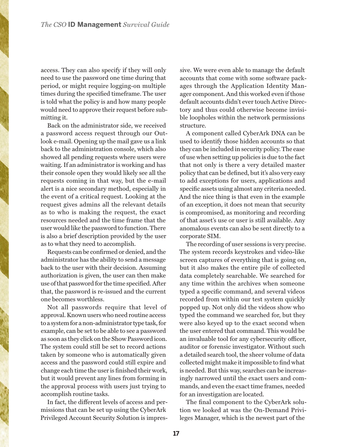access. They can also specify if they will only need to use the password one time during that period, or might require logging-on multiple times during the specified timeframe. The user is told what the policy is and how many people would need to approve their request before submitting it.

Back on the administrator side, we received a password access request through our Outlook e-mail. Opening up the mail gave us a link back to the administration console, which also showed all pending requests where users were waiting. If an administrator is working and has their console open they would likely see all the requests coming in that way, but the e-mail alert is a nice secondary method, especially in the event of a critical request. Looking at the request gives admins all the relevant details as to who is making the request, the exact resources needed and the time frame that the user would like the password to function. There is also a brief description provided by the user as to what they need to accomplish.

Requests can be confirmed or denied, and the administrator has the ability to send a message back to the user with their decision. Assuming authorization is given, the user can then make use of that password for the time specified. After that, the password is re-issued and the current one becomes worthless.

Not all passwords require that level of approval. Known users who need routine access to a system for a non-administrator type task, for example, can be set to be able to see a password as soon as they click on the Show Password icon. The system could still be set to record actions taken by someone who is automatically given access and the password could still expire and change each time the user is finished their work, but it would prevent any lines from forming in the approval process with users just trying to accomplish routine tasks.

In fact, the different levels of access and permissions that can be set up using the CyberArk Privileged Account Security Solution is impres-

sive. We were even able to manage the default accounts that come with some software packages through the Application Identity Manager component. And this worked even if those default accounts didn't ever touch Active Directory and thus could otherwise become invisible loopholes within the network permissions structure.

A component called CyberArk DNA can be used to identify those hidden accounts so that they can be included in security policy. The ease of use when setting up policies is due to the fact that not only is there a very detailed master policy that can be defined, but it's also very easy to add exceptions for users, applications and specific assets using almost any criteria needed. And the nice thing is that even in the example of an exception, it does not mean that security is compromised, as monitoring and recording of that asset's use or user is still available. Any anomalous events can also be sent directly to a corporate SIM.

The recording of user sessions is very precise. The system records keystrokes and video-like screen captures of everything that is going on, but it also makes the entire pile of collected data completely searchable. We searched for any time within the archives when someone typed a specific command, and several videos recorded from within our test system quickly popped up. Not only did the videos show who typed the command we searched for, but they were also keyed up to the exact second when the user entered that command. This would be an invaluable tool for any cybersecurity officer, auditor or forensic investigator. Without such a detailed search tool, the sheer volume of data collected might make it impossible to find what is needed. But this way, searches can be increasingly narrowed until the exact users and commands, and even the exact time frames, needed for an investigation are located.

The final component to the CyberArk solution we looked at was the On-Demand Privileges Manager, which is the newest part of the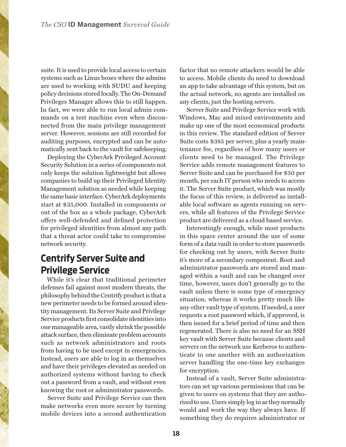suite. It is used to provide local access to certain systems such as Linux boxes where the admins are used to working with SUDU and keeping policy decisions stored locally. The On-Demand Privileges Manager allows this to still happen. In fact, we were able to run local admin commands on a test machine even when disconnected from the main privilege management server. However, sessions are still recorded for auditing purposes, encrypted and can be automatically sent back to the vault for safekeeping.

Deploying the CyberArk Privileged Account Security Solution in a series of components not only keeps the solution lightweight but allows companies to build up their Privileged Identity Management solution as needed while keeping the same basic interface. CyberArk deployments start at \$35,000. Installed in components or out of the box as a whole package, CyberArk offers well-defended and defined protection for privileged identities from almost any path that a threat actor could take to compromise network security.

#### **Centrify Server Suite and Privilege Service**

While it's clear that traditional perimeter defenses fail against most modern threats, the philosophy behind the Centrify product is that a new perimeter needs to be formed around identity management. Its Server Suite and Privilege Service products first consolidate identities into one manageable area, vastly shrink the possible attack surface, then eliminate problem accounts such as network administrators and roots from having to be used except in emergencies. Instead, users are able to log in as themselves and have their privileges elevated as needed on authorized systems without having to check out a password from a vault, and without even knowing the root or administrator passwords.

Server Suite and Privilege Service can then make networks even more secure by turning mobile devices into a second authentication

factor that no remote attackers would be able to access. Mobile clients do need to download an app to take advantage of this system, but on the actual network, no agents are installed on any clients, just the hosting servers.

Server Suite and Privilege Service work with Windows, Mac and mixed environments and make up one of the most economical products in this review. The standard edition of Server Suite costs \$385 per server, plus a yearly maintenance fee, regardless of how many users or clients need to be managed. The Privilege Service adds remote management features to Server Suite and can be purchased for \$50 per month, per each IT person who needs to access it. The Server Suite product, which was mostly the focus of this review, is delivered as installable local software as agents running on servers, while all features of the Privilege Service product are delivered as a cloud based service.

Interestingly enough, while most products in this space center around the use of some form of a data vault in order to store passwords for checking out by users, with Server Suite it's more of a secondary component. Root and administrator passwords are stored and managed within a vault and can be changed over time, however, users don't generally go to the vault unless there is some type of emergency situation, whereas it works pretty much like any other vault type of system. If needed, a user requests a root password which, if approved, is then issued for a brief period of time and then regenerated. There is also no need for an SSH key vault with Server Suite because clients and servers on the network use Kerberos to authenticate to one another with an authorization server handling the one-time key exchanges for encryption.

Instead of a vault, Server Suite administrators can set up various permissions that can be given to users on systems that they are authorized to use. Users simply log in as they normally would and work the way they always have. If something they do requires administrator or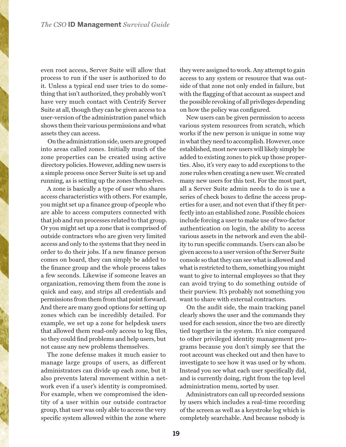even root access, Server Suite will allow that process to run if the user is authorized to do it. Unless a typical end user tries to do something that isn't authorized, they probably won't have very much contact with Centrify Server Suite at all, though they can be given access to a user-version of the administration panel which shows them their various permissions and what assets they can access.

On the administration side, users are grouped into areas called zones. Initially much of the zone properties can be created using active directory policies. However, adding new users is a simple process once Server Suite is set up and running, as is setting up the zones themselves.

A zone is basically a type of user who shares access characteristics with others. For example, you might set up a finance group of people who are able to access computers connected with that job and run processes related to that group. Or you might set up a zone that is comprised of outside contractors who are given very limited access and only to the systems that they need in order to do their jobs. If a new finance person comes on board, they can simply be added to the finance group and the whole process takes a few seconds. Likewise if someone leaves an organization, removing them from the zone is quick and easy, and strips all credentials and permissions from them from that point forward. And there are many good options for setting up zones which can be incredibly detailed. For example, we set up a zone for helpdesk users that allowed them read-only access to log files, so they could find problems and help users, but not cause any new problems themselves.

The zone defense makes it much easier to manage large groups of users, as different administrators can divide up each zone, but it also prevents lateral movement within a network even if a user's identity is compromised. For example, when we compromised the identity of a user within our outside contractor group, that user was only able to access the very specific system allowed within the zone where

they were assigned to work. Any attempt to gain access to any system or resource that was outside of that zone not only ended in failure, but with the flagging of that account as suspect and the possible revoking of all privileges depending on how the policy was configured.

New users can be given permission to access various system resources from scratch, which works if the new person is unique in some way in what they need to accomplish. However, once established, most new users will likely simply be added to existing zones to pick up those properties. Also, it's very easy to add exceptions to the zone rules when creating a new user. We created many new users for this test. For the most part, all a Server Suite admin needs to do is use a series of check boxes to define the access properties for a user, and not even that if they fit perfectly into an established zone. Possible choices include forcing a user to make use of two-factor authentication on login, the ability to access various assets in the network and even the ability to run specific commands. Users can also be given access to a user version of the Server Suite console so that they can see what is allowed and what is restricted to them, something you might want to give to internal employees so that they can avoid trying to do something outside of their purview. It's probably not something you want to share with external contractors.

On the audit side, the main tracking panel clearly shows the user and the commands they used for each session, since the two are directly tied together in the system. It's nice compared to other privileged identity management programs because you don't simply see that the root account was checked out and then have to investigate to see how it was used or by whom. Instead you see what each user specifically did, and is currently doing, right from the top level administration menu, sorted by user.

Administrators can call up recorded sessions by users which includes a real-time recording of the screen as well as a keystroke log which is completely searchable. And because nobody is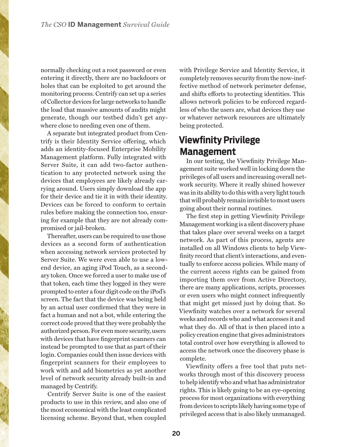normally checking out a root password or even entering it directly, there are no backdoors or holes that can be exploited to get around the monitoring process. Centrify can set up a series of Collector devices for large networks to handle the load that massive amounts of audits might generate, though our testbed didn't get anywhere close to needing even one of them.

A separate but integrated product from Centrify is their Identity Service offering, which adds an identity-focused Enterprise Mobility Management platform. Fully integrated with Server Suite, it can add two-factor authentication to any protected network using the devices that employees are likely already carrying around. Users simply download the app for their device and tie it in with their identity. Devices can be forced to conform to certain rules before making the connection too, ensuring for example that they are not already compromised or jail-broken.

Thereafter, users can be required to use those devices as a second form of authentication when accessing network services protected by Server Suite. We were even able to use a lowend device, an aging iPod Touch, as a secondary token. Once we forced a user to make use of that token, each time they logged in they were prompted to enter a four digit code on the iPod's screen. The fact that the device was being held by an actual user confirmed that they were in fact a human and not a bot, while entering the correct code proved that they were probably the authorized person. For even more security, users with devices that have fingerprint scanners can instead be prompted to use that as part of their login. Companies could then issue devices with fingerprint scanners for their employees to work with and add biometrics as yet another level of network security already built-in and managed by Centrify.

Centrify Server Suite is one of the easiest products to use in this review, and also one of the most economical with the least complicated licensing scheme. Beyond that, when coupled

with Privilege Service and Identity Service, it completely removes security from the now-ineffective method of network perimeter defense, and shifts efforts to protecting identities. This allows network policies to be enforced regardless of who the users are, what devices they use or whatever network resources are ultimately being protected.

#### **Viewfinity Privilege Management**

In our testing, the Viewfinity Privilege Management suite worked well in locking down the privileges of all users and increasing overall network security. Where it really shined however was in its ability to do this with a very light touch that will probably remain invisible to most users going about their normal routines.

The first step in getting Viewfinity Privilege Management working is a silent discovery phase that takes place over several weeks on a target network. As part of this process, agents are installed on all Windows clients to help Viewfinity record that client's interactions, and eventually to enforce access policies. While many of the current access rights can be gained from importing them over from Active Directory, there are many applications, scripts, processes or even users who might connect infrequently that might get missed just by doing that. So Viewfinity watches over a network for several weeks and records who and what accesses it and what they do. All of that is then placed into a policy creation engine that gives administrators total control over how everything is allowed to access the network once the discovery phase is complete.

Viewfinity offers a free tool that puts networks through most of this discovery process to help identify who and what has administrator rights. This is likely going to be an eye-opening process for most organizations with everything from devices to scripts likely having some type of privileged access that is also likely unmanaged.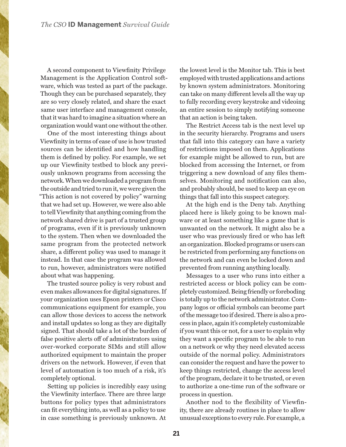A second component to Viewfinity Privilege Management is the Application Control software, which was tested as part of the package. Though they can be purchased separately, they are so very closely related, and share the exact same user interface and management console, that it was hard to imagine a situation where an organization would want one without the other.

One of the most interesting things about Viewfinity in terms of ease of use is how trusted sources can be identified and how handling them is defined by policy. For example, we set up our Viewfinity testbed to block any previously unknown programs from accessing the network. When we downloaded a program from the outside and tried to run it, we were given the "This action is not covered by policy" warning that we had set up. However, we were also able to tell Viewfinity that anything coming from the network shared drive is part of a trusted group of programs, even if it is previously unknown to the system. Then when we downloaded the same program from the protected network share, a different policy was used to manage it instead. In that case the program was allowed to run, however, administrators were notified about what was happening.

The trusted source policy is very robust and even makes allowances for digital signatures. If your organization uses Epson printers or Cisco communications equipment for example, you can allow those devices to access the network and install updates so long as they are digitally signed. That should take a lot of the burden of false positive alerts off of administrators using over-worked corporate SIMs and still allow authorized equipment to maintain the proper drivers on the network. However, if even that level of automation is too much of a risk, it's completely optional.

Setting up policies is incredibly easy using the Viewfinity interface. There are three large buttons for policy types that administrators can fit everything into, as well as a policy to use in case something is previously unknown. At

the lowest level is the Monitor tab. This is best employed with trusted applications and actions by known system administrators. Monitoring can take on many different levels all the way up to fully recording every keystroke and videoing an entire session to simply notifying someone that an action is being taken.

The Restrict Access tab is the next level up in the security hierarchy. Programs and users that fall into this category can have a variety of restrictions imposed on them. Applications for example might be allowed to run, but are blocked from accessing the Internet, or from triggering a new download of any files themselves. Monitoring and notification can also, and probably should, be used to keep an eye on things that fall into this suspect category.

At the high end is the Deny tab. Anything placed here is likely going to be known malware or at least something like a game that is unwanted on the network. It might also be a user who was previously fired or who has left an organization. Blocked programs or users can be restricted from performing any functions on the network and can even be locked down and prevented from running anything locally.

Messages to a user who runs into either a restricted access or block policy can be completely customized. Being friendly or foreboding is totally up to the network administrator. Company logos or official symbols can become part of the message too if desired. There is also a process in place, again it's completely customizable if you want this or not, for a user to explain why they want a specific program to be able to run on a network or why they need elevated access outside of the normal policy. Administrators can consider the request and have the power to keep things restricted, change the access level of the program, declare it to be trusted, or even to authorize a one-time run of the software or process in question.

Another nod to the flexibility of Viewfinity, there are already routines in place to allow unusual exceptions to every rule. For example, a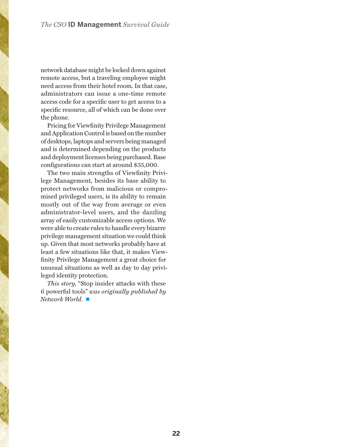network database might be locked down against remote access, but a traveling employee might need access from their hotel room. In that case, administrators can issue a one-time remote access code for a specific user to get access to a specific resource, all of which can be done over the phone.

Pricing for Viewfinity Privilege Management and Application Control is based on the number of desktops, laptops and servers being managed and is determined depending on the products and deployment licenses being purchased. Base configurations can start at around \$35,000.

The two main strengths of Viewfinity Privilege Management, besides its base ability to protect networks from malicious or compromised privileged users, is its ability to remain mostly out of the way from average or even administrator-level users, and the dazzling array of easily customizable access options. We were able to create rules to handle every bizarre privilege management situation we could think up. Given that most networks probably have at least a few situations like that, it makes Viewfinity Privilege Management a great choice for unusual situations as well as day to day privileged identity protection.

*This story,* "Stop insider attacks with these 6 powerful tools" *was originally published by Network World.* ■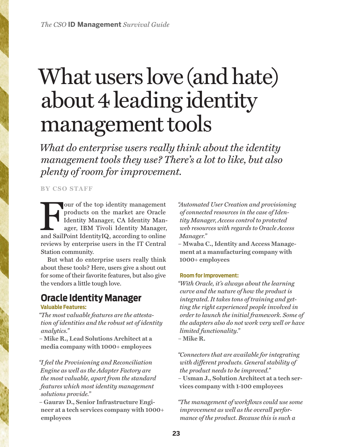# <span id="page-22-0"></span>What users love (and hate) about 4 leading identity management tools

*What do enterprise users really think about the identity management tools they use? There's a lot to like, but also plenty of room for improvement.*

**BY CSO STAFF**

Four of the top identity management<br>
products on the market are Oracle<br>
Identity Manager, CA Identity Manager,<br>
and SailPoint IdentityIQ, according to online<br>
and SailPoint IdentityIQ, according to online products on the market are Oracle Identity Manager, CA Identity Manager, IBM Tivoli Identity Manager, reviews by enterprise users in the IT Central Station community.

But what do enterprise users really think about these tools? Here, users give a shout out for some of their favorite features, but also give the vendors a little tough love.

## **Oracle Identity Manager**

#### **Valuable Features:**

*"The most valuable features are the attestation of identities and the robust set of identity analytics."*

**– Mike R., Lead Solutions Architect at a media company with 1000+ employees**

*"I feel the Provisioning and Reconciliation Engine as well as the Adapter Factory are the most valuable, apart from the standard features which most identity management solutions provide."*

**– Gaurav D., Senior Infrastructure Engineer at a tech services company with 1000+ employees**

*"Automated User Creation and provisioning of connected resources in the case of Identity Manager, Access control to protected web resources with regards to Oracle Access Manager."*

**– Mwaba C., Identity and Access Management at a manufacturing company with 1000+ employees**

#### **Room for Improvement:**

*"With Oracle, it's always about the learning curve and the nature of how the product is integrated. It takes tons of training and getting the right experienced people involved in order to launch the initial framework. Some of the adapters also do not work very well or have limited functionality."* **– Mike R.**

*"Connectors that are available for integrating with different products. General stability of the product needs to be improved."* **– Usman J., Solution Architect at a tech services company with 1-100 employees**

*"The management of workflows could use some improvement as well as the overall performance of the product. Because this is such a*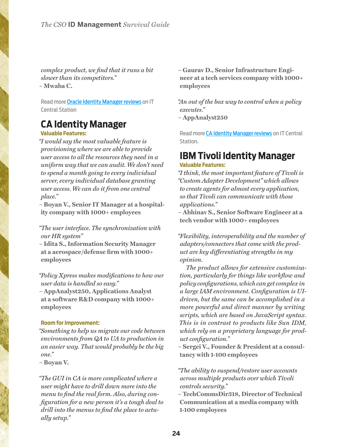*complex product, we find that it runs a bit slower than its competitors."* **– Mwaba C.**

Read more [Oracle Identity Manager reviews](https://csoonline.itcentralstation.com/products/oracle-identity-manager) on IT Central Station

#### **CA Identity Manager**

**Valuable Features:**

*"I would say the most valuable feature is provisioning where we are able to provide user access to all the resources they need in a uniform way that we can audit. We don't need to spend a month going to every individual server, every individual database granting user access. We can do it from one central place."*

**– Boyan V., Senior IT Manager at a hospitality company with 1000+ employees**

*"The user interface. The synchronization with our HR system"*

**– Idita S., Information Security Manager at a aerospace/defense firm with 1000+ employees**

*"Policy Xpress makes modifications to how our user data is handled so easy."*

**– AppAnalyst250, Applications Analyst at a software R&D company with 1000+ employees**

#### **Room for Improvement:**

*"Something to help us migrate our code between environments from QA to UA to production in an easier way. That would probably be the big one."*

**– Boyan V.**

*"The GUI in CA is more complicated where a user might have to drill down more into the menu to find the real form. Also, during configuration for a new person it's a tough deal to drill into the menus to find the place to actually setup."*

**– Gaurav D., Senior Infrastructure Engineer at a tech services company with 1000+ employees**

*"An out of the box way to control when a policy executes."*

**– AppAnalyst250**

Read more **[CA Identity Manager reviews](https://csoonline.itcentralstation.com/products/ca-identity-manager)** on IT Central Station.

# **IBM Tivoli Identity Manager**

#### **Valuable Features:**

*"I think, the most important feature of Tivoli is "Custom Adapter Development" which allows to create agents for almost every application, so that Tivoli can communicate with those applications."*

**– Abhinav S., Senior Software Engineer at a tech vendor with 1000+ employees**

*"Flexibility, interoperability and the number of adapters/connectors that come with the product are key differentiating strengths in my opinion.*

*The product allows for extensive customization, particularly for things like workflow and policy configurations, which can get complex in a large IAM environment. Configuration is UIdriven, but the same can be accomplished in a more powerful and direct manner by writing scripts, which are based on JavaScript syntax. This is in contrast to products like Sun IDM, which rely on a proprietary language for product configuration."*

**– Sergei V., Founder & President at a consultancy with 1-100 employees**

*"The ability to suspend/restore user accounts across multiple products over which Tivoli controls security."*

**– TechCommsDir318, Director of Technical Communication at a media company with 1-100 employees**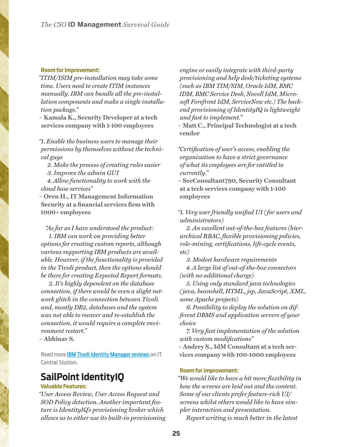#### **Room for Improvement:**

*"ITIM/ISIM pre-installation may take some time. Users need to create ITIM instances manually. IBM can bundle all the pre-installation components and make a single installation package."*

**– Kamala K., Security Developer at a tech services company with 1-100 employees**

*"1. Enable the business users to manage their permissions by themselves without the technical guys*

*2. Make the process of creating rules easier 3. Improve the admin GUI*

*4. Allow functionality to work with the cloud base services"*

**– Oren H., IT Management Information Security at a financial services firm with 1000+ employees**

*"As far as I have understood the product:*

 *1. IBM can work on providing better options for creating custom reports, although various supporting IBM products are available. However, if the functionality is provided in the Tivoli product, then the options should be there for creating Expected Report formats.*

 *2. It's highly dependent on the database connection, if there would be even a slight network glitch in the connection between Tivoli and, mostly DB2, databases and the system was not able to recover and re-establish the connection, it would require a complete environment restart."*

**– Abhinav S.**

Read more **[IBM Tivoli Identity Manager reviews](https://csoonline.itcentralstation.com/landingpages3/idg_product?id=ibm-tivoli-identity-manager)** on IT Central Station.

#### **SailPoint IdentityIQ**

#### **Valuable Features:**

*"User Access Review, User Access Request and SOD Policy detection. Another important feature is IdentityIQ's provisioning broker which allows us to either use its built-in provisioning* 

*engine or easily integrate with third-party provisioning and help desk/ticketing systems (such as IBM TIM/SIM, Oracle IdM, BMC IDM, BMC Service Desk, Novell IdM, Microsoft Forefront IdM, ServiceNow etc.) The backend provisioning of IdentityIQ is lightweight and fast to implement."*

**– Matt C., Principal Technologist at a tech vendor**

*"Certification of user's access, enabling the organization to have a strict governance of what its employees are for entitled to currently."*

**– SecConsultant790, Security Consultant at a tech services company with 1-100 employees**

#### *"1. Very user friendly unified UI ( for users and administrators)*

*2. An excellent out-of-the-box features (hierarchical RBAC, flexible provisioning policies, role-mining, certifications, life-cycle events, etc)*

*3. Modest hardware requirements 4. A large list of out-of-the-box connectors* 

*(with no additional charge) 5. Using only standard java technologies (java, beanshell, HTML, jsp, JavaScript, XML,* 

*some Apache projects) 6. Possibility to deploy the solution on different DBMS and application servers of your choice*

*7. Very fast implementation of the solution with custom modifications"*

**– Andrey S., IdM Consultant at a tech services company with 100-1000 employees**

#### **Room for Improvement:**

*"We would like to have a bit more flexibility in how the screens are laid out and the content. Some of our clients prefer feature-rich UI/ screens whilst others would like to have simpler interaction and presentation.*

*Report writing is much better in the latest*